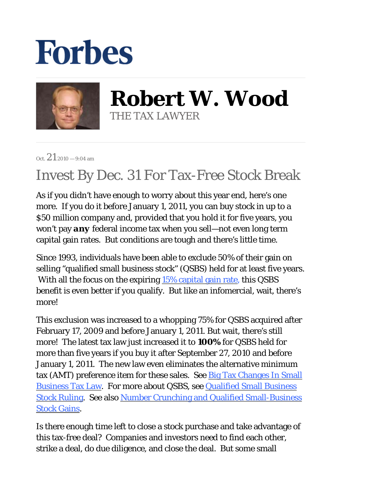## **Forbes**



**Robert W. Wood** THE TAX LAWYER

Oct.  $212010 - 9.04$  am

## Invest By Dec. 31 For Tax-Free Stock Break

As if you didn't have enough to worry about this year end, here's one more. If you do it before January 1, 2011, you can buy stock in up to a \$50 million company and, provided that you hold it for five years, you won't pay *any* federal income tax when you sell—not even long term capital gain rates. But conditions are tough and there's little time.

Since 1993, individuals have been able to exclude 50% of their gain on selling "qualified small business stock" (QSBS) held for at least five years. With all the focus on the expiring 15% capital gain rate, this QSBS benefit is even better if you qualify. But like an infomercial, wait, there's more!

This exclusion was increased to a whopping 75% for QSBS acquired after February 17, 2009 and before January 1, 2011. But wait, there's still more! The latest tax law just increased it to **100%** for QSBS held for more than five years if you buy it after September 27, 2010 and before January 1, 2011. The new law even eliminates the alternative minimum tax (AMT) preference item for these sales. See Big Tax Changes In Small Business Tax Law. For more about QSBS, see Qualified Small Business Stock Ruling. See also Number Crunching and Qualified Small-Business Stock Gains.

Is there enough time left to close a stock purchase and take advantage of this tax-free deal? Companies and investors need to find each other, strike a deal, do due diligence, and close the deal. But some small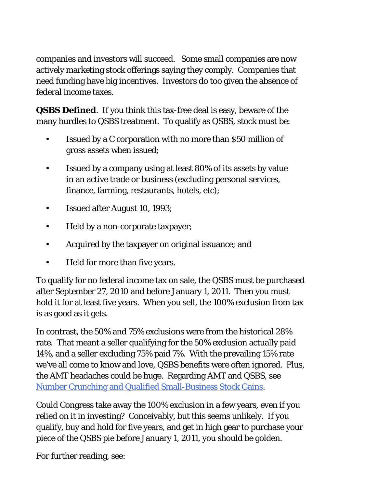companies and investors will succeed. Some small companies are now actively marketing stock offerings saying they comply. Companies that need funding have big incentives. Investors do too given the absence of federal income taxes.

**QSBS Defined**. If you think this tax-free deal is easy, beware of the many hurdles to QSBS treatment. To qualify as QSBS, stock must be:

- Issued by a C corporation with no more than \$50 million of gross assets when issued; •
- Issued by a company using at least 80% of its assets by value in an active trade or business (excluding personal services, finance, farming, restaurants, hotels, etc); •
- Issued after August 10, 1993;
- Held by a non-corporate taxpayer;
- Acquired by the taxpayer on original issuance; and
- Held for more than five years.

To qualify for no federal income tax on sale, the QSBS must be purchased after September 27, 2010 and before January 1, 2011. Then you must hold it for at least five years. When you sell, the 100% exclusion from tax is as good as it gets.

In contrast, the 50% and 75% exclusions were from the historical 28% rate. That meant a seller qualifying for the 50% exclusion actually paid 14%, and a seller excluding 75% paid 7%. With the prevailing 15% rate we've all come to know and love, QSBS benefits were often ignored. Plus, the AMT headaches could be huge. Regarding AMT and QSBS, see Number Crunching and Qualified Small-Business Stock Gains.

Could Congress take away the 100% exclusion in a few years, even if you relied on it in investing? Conceivably, but this seems unlikely. If you qualify, buy and hold for five years, and get in high gear to purchase your piece of the QSBS pie before January 1, 2011, you should be golden.

For further reading, see: